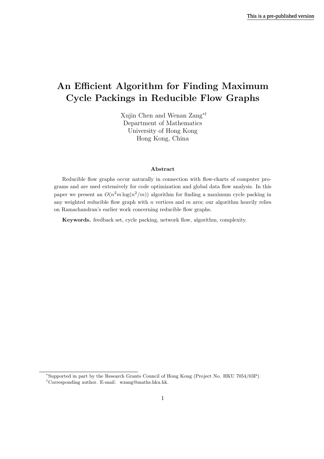# **An Efficient Algorithm for Finding Maximum Cycle Packings in Reducible Flow Graphs**

Xujin Chen and Wenan Zang∗† Department of Mathematics University of Hong Kong Hong Kong, China

### **Abstract**

Reducible flow graphs occur naturally in connection with flow-charts of computer programs and are used extensively for code optimization and global data flow analysis. In this paper we present an  $O(n^2m \log(n^2/m))$  algorithm for finding a maximum cycle packing in any weighted reducible flow graph with  $n$  vertices and  $m$  arcs; our algorithm heavily relies on Ramachandran's earlier work concerning reducible flow graphs.

**Keywords.** feedback set, cycle packing, network flow, algorithm, complexity.

<sup>∗</sup>Supported in part by the Research Grants Council of Hong Kong (Project No. HKU 7054/03P). †Corresponding author. E-mail: wzang@maths.hku.hk.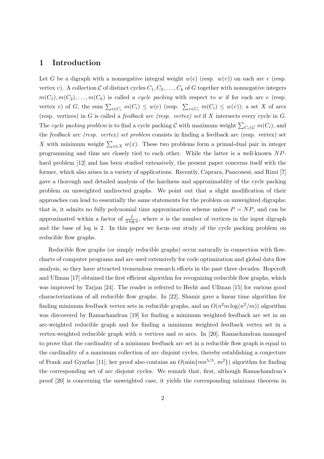#### $\mathbf{1}$ Introduction

Let G be a digraph with a nonnegative integral weight  $w(e)$  (resp.  $w(v)$ ) on each arc e (resp. vertex v). A collection C of distinct cycles  $C_1, C_2, \ldots, C_k$  of G together with nonnegative integers  $m(C_1), m(C_2), \ldots, m(C_k)$  is called a *cycle packing* with respect to w if for each arc e (resp. vertex v) of G, the sum  $\sum_{e \in C_i} m(C_i) \leq w(e)$  (resp.  $\sum_{v \in C_i} m(C_i) \leq w(v)$ ); a set X of arcs (resp. vertices) in  $G$  is called a *feedback arc (resp. vertex) set* if  $X$  intersects every cycle in  $G$ . The cycle packing problem is to find a cycle packing C with maximum weight  $\sum_{C_i \in \mathcal{C}} m(C_i)$ , and the feedback arc (resp. vertex) set problem consists in finding a feedback arc (resp. vertex) set X with minimum weight  $\sum_{x \in X} w(x)$ . These two problems form a primal-dual pair in integer programming and thus are closely tied to each other. While the latter is a well-known NPhard problem [12] and has been studied extensively, the present paper concerns itself with the former, which also arises in a variety of applications. Recently, Caprara, Panconesi, and Rizzi [7] gave a thorough and detailed analysis of the hardness and approximability of the cycle packing problem on unweighted undirected graphs. We point out that a slight modification of their approaches can lead to essentially the same statements for the problem on unweighted digraphs; that is, it admits no fully polynomial time approximation scheme unless  $P = NP$ , and can be approximated within a factor of  $\frac{1}{2 \log n}$ , where *n* is the number of vertices in the input digraph and the base of log is 2. In this paper we focus our study of the cycle packing problem on reducible flow graphs.

Reducible flow graphs (or simply reducible graphs) occur naturally in connection with flowcharts of computer programs and are used extensively for code optimization and global data flow analysis, so they have attracted tremendous research efforts in the past three decades. Hopcroft and Ullman [17] obtained the first efficient algorithm for recognizing reducible flow graphs, which was improved by Tarjan [24]. The reader is referred to Hecht and Ullman [15] for various good characterizations of all reducible flow graphs. In [22], Shamir gave a linear time algorithm for finding minimum feedback vertex sets in reducible graphs, and an  $O(n^2m \log(n^2/m))$  algorithm was discovered by Ramachandran [19] for finding a minimum weighted feedback arc set in an arc-weighted reducible graph and for finding a minimum weighted feedback vertex set in a vertex-weighted reducible graph with n vertices and m arcs. In [20], Ramachandran managed to prove that the cardinality of a minimum feedback arc set in a reducible flow graph is equal to the cardinality of a maximum collection of arc disjoint cycles, thereby establishing a conjecture of Frank and Gyarfas [11]; her proof also contains an  $O(\min\{mn^{5/3}, m^2\})$  algorithm for finding the corresponding set of arc disjoint cycles. We remark that, first, although Ramachandran's proof [20] is concerning the unweighted case, it yields the corresponding minimax theorem in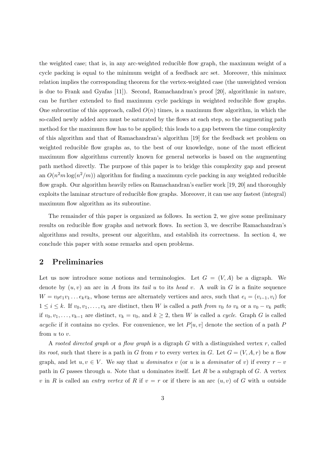the weighted case; that is, in any arc-weighted reducible flow graph, the maximum weight of a cycle packing is equal to the minimum weight of a feedback arc set. Moreover, this minimax relation implies the corresponding theorem for the vertex-weighted case (the unweighted version is due to Frank and Gyafas  $[11]$ . Second, Ramachandran's proof  $[20]$ , algorithmic in nature, can be further extended to find maximum cycle packings in weighted reducible flow graphs. One subroutine of this approach, called  $O(n)$  times, is a maximum flow algorithm, in which the so-called newly added arcs must be saturated by the flows at each step, so the augmenting path method for the maximum flow has to be applied; this leads to a gap between the time complexity of this algorithm and that of Ramachandran's algorithm [19] for the feedback set problem on weighted reducible flow graphs as, to the best of our knowledge, none of the most efficient maximum flow algorithms currently known for general networks is based on the augmenting path method directly. The purpose of this paper is to bridge this complexity gap and present an  $O(n^2m \log(n^2/m))$  algorithm for finding a maximum cycle packing in any weighted reducible flow graph. Our algorithm heavily relies on Ramachandran's earlier work [19, 20] and thoroughly exploits the laminar structure of reducible flow graphs. Moreover, it can use any fastest (integral) maximum flow algorithm as its subroutine.

The remainder of this paper is organized as follows. In section 2, we give some preliminary results on reducible flow graphs and network flows. In section 3, we describe Ramachandran's algorithms and results, present our algorithm, and establish its correctness. In section 4, we conclude this paper with some remarks and open problems.

#### $\boldsymbol{2}$ Preliminaries

Let us now introduce some notions and terminologies. Let  $G = (V, A)$  be a digraph. We denote by  $(u, v)$  an arc in A from its tail u to its head v. A walk in G is a finite sequence  $W = v_0 e_1 v_1 \dots e_k v_k$ , whose terms are alternately vertices and arcs, such that  $e_i = (v_{i-1}, v_i)$  for  $1 \leq i \leq k$ . If  $v_0, v_1, \ldots, v_k$  are distinct, then W is called a path from  $v_0$  to  $v_k$  or a  $v_0 - v_k$  path; if  $v_0, v_1, \ldots, v_{k-1}$  are distinct,  $v_k = v_0$ , and  $k \geq 2$ , then W is called a cycle. Graph G is called *acyclic* if it contains no cycles. For convenience, we let  $P[u, v]$  denote the section of a path P from  $u$  to  $v$ .

A rooted directed graph or a flow graph is a digraph G with a distinguished vertex r, called its root, such that there is a path in G from r to every vertex in G. Let  $G = (V, A, r)$  be a flow graph, and let  $u, v \in V$ . We say that u dominates v (or u is a dominator of v) if every  $r - v$ path in G passes through u. Note that u dominates itself. Let R be a subgraph of G. A vertex v in R is called an *entry vertex* of R if  $v = r$  or if there is an arc  $(u, v)$  of G with u outside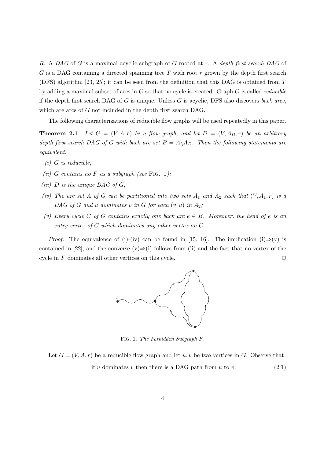R. A DAG of G is a maximal acyclic subgraph of G rooted at r. A depth first search DAG of G is a DAG containing a directed spanning tree T with root r grown by the depth first search (DFS) algorithm [23, 25]; it can be seen from the definition that this DAG is obtained from T by adding a maximal subset of arcs in  $G$  so that no cycle is created. Graph  $G$  is called *reducible* if the depth first search DAG of  $G$  is unique. Unless  $G$  is acyclic, DFS also discovers back arcs, which are arcs of  $G$  not included in the depth first search DAG.

The following characterizations of reducible flow graphs will be used repeatedly in this paper.

**Theorem 2.1.** Let  $G = (V, A, r)$  be a flow graph, and let  $D = (V, A_D, r)$  be an arbitrary depth first search DAG of G with back arc set  $B = A \setminus A_D$ . Then the following statements are  $equivalent.$ 

- $(i)$  G is reducible;
- (ii) G contains no F as a subgraph (see Fig. 1);
- (iii)  $D$  is the unique DAG of  $G$ ;
- (iv) The arc set A of G can be partitioned into two sets  $A_1$  and  $A_2$  such that  $(V, A_1, r)$  is a DAG of G and u dominates v in G for each  $(v, u)$  in  $A_2$ ;
- (v) Every cycle C of G contains exactly one back arc  $e \in B$ . Moreover, the head of e is an entry vertex of  $C$  which dominates any other vertex on  $C$ .

*Proof.* The equivalence of (i)-(iv) can be found in [15, 16]. The implication (i) $\Rightarrow$ (v) is contained in [22], and the converse  $(v) \Rightarrow (i)$  follows from (ii) and the fact that no vertex of the cycle in  $F$  dominates all other vertices on this cycle.  $\Box$ 



FIG. 1. The Forbidden Subgraph F.

Let  $G = (V, A, r)$  be a reducible flow graph and let  $u, v$  be two vertices in G. Observe that if u dominates v then there is a DAG path from u to v.  $(2.1)$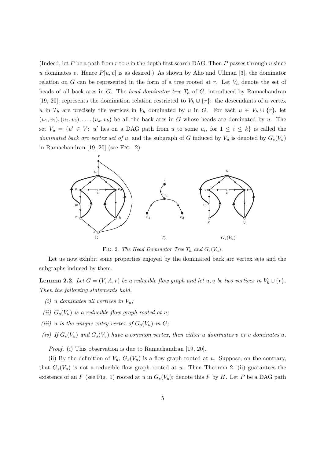(Indeed, let P be a path from r to v in the depth first search DAG. Then P passes through u since u dominates v. Hence  $P[u, v]$  is as desired.) As shown by Aho and Ullman [3], the dominator relation on G can be represented in the form of a tree rooted at r. Let  $V_h$  denote the set of heads of all back arcs in  $G$ . The head dominator tree  $T_h$  of  $G$ , introduced by Ramachandran [19, 20], represents the domination relation restricted to  $V_h \cup \{r\}$ : the descendants of a vertex u in  $T_h$  are precisely the vertices in  $V_h$  dominated by u in G. For each  $u \in V_h \cup \{r\}$ , let  $(u_1, v_1), (u_2, v_2), \ldots, (u_k, v_k)$  be all the back arcs in G whose heads are dominated by u. The set  $V_u = \{u' \in V: u' \text{ lies on a DAG path from } u \text{ to some } u_i, \text{ for } 1 \leq i \leq k\}$  is called the *dominated back arc vertex set of u*, and the subgraph of G induced by  $V_u$  is denoted by  $G_s(V_u)$ in Ramachandran  $[19, 20]$  (see FIG. 2).



FIG. 2. The Head Dominator Tree  $T_h$  and  $G_s(V_u)$ .

Let us now exhibit some properties enjoyed by the dominated back arc vertex sets and the subgraphs induced by them.

**Lemma 2.2.** Let  $G = (V, A, r)$  be a reducible flow graph and let  $u, v$  be two vertices in  $V_h \cup \{r\}$ . Then the following statements hold.

- (i) u dominates all vertices in  $V_u$ ;
- (ii)  $G_s(V_u)$  is a reducible flow graph rooted at u;
- (iii) u is the unique entry vertex of  $G_s(V_u)$  in G;
- (iv) If  $G_s(V_u)$  and  $G_s(V_v)$  have a common vertex, then either u dominates v or v dominates u.

*Proof.* (i) This observation is due to Ramachandran [19, 20].

(ii) By the definition of  $V_u$ ,  $G_s(V_u)$  is a flow graph rooted at u. Suppose, on the contrary, that  $G_s(V_u)$  is not a reducible flow graph rooted at u. Then Theorem 2.1(ii) guarantees the existence of an F (see Fig. 1) rooted at u in  $G_s(V_u)$ ; denote this F by H. Let P be a DAG path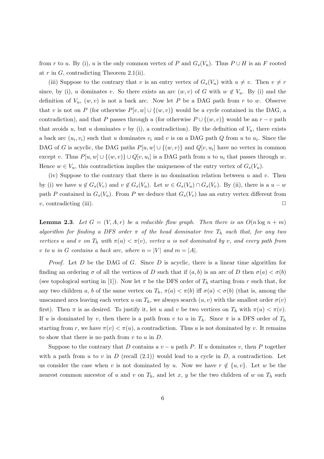from r to u. By (i), u is the only common vertex of P and  $G_s(V_u)$ . Thus  $P \cup H$  is an F rooted at r in G, contradicting Theorem 2.1(ii).

(iii) Suppose to the contrary that v is an entry vertex of  $G_s(V_u)$  with  $u \neq v$ . Then  $v \neq r$ since, by (i), u dominates v. So there exists an arc  $(w, v)$  of G with  $w \notin V_u$ . By (i) and the definition of  $V_u$ ,  $(w, v)$  is not a back arc. Now let P be a DAG path from r to w. Observe that v is not on P (for otherwise  $P[v, w] \cup \{(w, v)\}$  would be a cycle contained in the DAG, a contradiction), and that P passes through u (for otherwise  $P \cup \{(w, v)\}\$  would be an  $r - v$  path that avoids u, but u dominates v by (i), a contradiction). By the definition of  $V_u$ , there exists a back arc  $(u_i, v_i)$  such that u dominates  $v_i$  and v is on a DAG path Q from u to  $u_i$ . Since the DAG of G is acyclic, the DAG paths  $P[u, w] \cup \{(w, v)\}\$ and  $Q[v, u_i]$  have no vertex in common except v. Thus  $P[u, w] \cup \{(w, v)\} \cup Q[v, u_i]$  is a DAG path from u to  $u_i$  that passes through w. Hence  $w \in V_u$ , this contradiction implies the uniqueness of the entry vertex of  $G_s(V_u)$ .

(iv) Suppose to the contrary that there is no domination relation between  $u$  and  $v$ . Then by (i) we have  $u \notin G_s(V_v)$  and  $v \notin G_s(V_u)$ . Let  $w \in G_s(V_u) \cap G_s(V_v)$ . By (ii), there is a  $u - w$ path P contained in  $G_s(V_u)$ . From P we deduce that  $G_s(V_v)$  has an entry vertex different from  $v$ , contradicting (iii).  $\Box$ 

**Lemma 2.3.** Let  $G = (V, A, r)$  be a reducible flow graph. Then there is an  $O(n \log n + m)$ algorithm for finding a DFS order  $\pi$  of the head dominator tree  $T_h$  such that, for any two vertices u and v on  $T_h$  with  $\pi(u) < \pi(v)$ , vertex u is not dominated by v, and every path from v to u in G contains a back arc, where  $n = |V|$  and  $m = |A|$ .

*Proof.* Let D be the DAG of G. Since D is acyclic, there is a linear time algorithm for finding an ordering  $\sigma$  of all the vertices of D such that if  $(a, b)$  is an arc of D then  $\sigma(a) < \sigma(b)$ (see topological sorting in [1]). Now let  $\pi$  be the DFS order of  $T_h$  starting from r such that, for any two children a, b of the same vertex on  $T_h$ ,  $\pi(a) < \pi(b)$  iff  $\sigma(a) < \sigma(b)$  (that is, among the unscanned arcs leaving each vertex u on  $T_h$ , we always search  $(u, v)$  with the smallest order  $\sigma(v)$ first). Then  $\pi$  is as desired. To justify it, let u and v be two vertices on  $T_h$  with  $\pi(u) < \pi(v)$ . If u is dominated by v, then there is a path from v to u in  $T_h$ . Since  $\pi$  is a DFS order of  $T_h$ starting from r, we have  $\pi(v) < \pi(u)$ , a contradiction. Thus u is not dominated by v. It remains to show that there is no path from  $v$  to  $u$  in  $D$ .

Suppose to the contrary that D contains a  $v - u$  path P. If u dominates v, then P together with a path from u to v in D (recall (2.1)) would lead to a cycle in D, a contradiction. Let us consider the case when v is not dominated by u. Now we have  $r \notin \{u, v\}$ . Let w be the nearest common ancestor of u and v on  $T_h$ , and let x, y be the two children of w on  $T_h$  such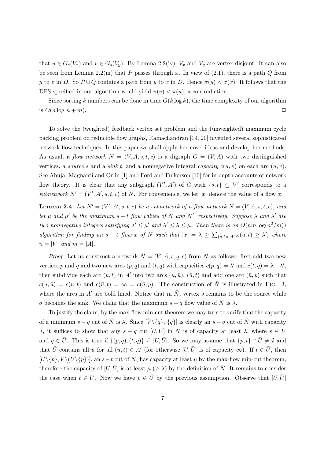that  $u \in G_s(V_x)$  and  $v \in G_s(V_y)$ . By Lemma 2.2(iv),  $V_x$  and  $V_y$  are vertex disjoint. It can also be seen from Lemma 2.2(iii) that P passes through x. In view of  $(2.1)$ , there is a path Q from y to v in D. So  $P \cup Q$  contains a path from y to x in D. Hence  $\sigma(y) < \sigma(x)$ . It follows that the DFS specified in our algorithm would yield  $\pi(v) < \pi(u)$ , a contradiction.

Since sorting k numbers can be done in time  $O(k \log k)$ , the time complexity of our algorithm is  $O(n \log n + m)$ .  $\Box$ 

To solve the (weighted) feedback vertex set problem and the (unweighted) maximum cycle packing problem on reducible flow graphs, Ramachandran [19, 20] invented several sophisticated network flow techniques. In this paper we shall apply her novel ideas and develop her methods. As usual, a *flow network*  $N = (V, A, s, t, c)$  is a digraph  $G = (V, A)$  with two distinguished vertices, a *source s* and a *sink t*, and a nonnegative integral *capacity*  $c(u, v)$  on each arc  $(u, v)$ . See Ahuja, Magnanti and Orlin [1] and Ford and Fulkerson [10] for in-depth accounts of network flow theory. It is clear that any subgraph  $(V', A')$  of G with  $\{s, t\} \subseteq V'$  corresponds to a subnetwork  $N' = (V', A', s, t, c)$  of N. For convenience, we let |x| denote the value of a flow x.

**Lemma 2.4.** Let  $N' = (V', A', s, t, c)$  be a subnetwork of a flow network  $N = (V, A, s, t, c)$ , and let  $\mu$  and  $\mu'$  be the maximum  $s-t$  flow values of N and N', respectively. Suppose  $\lambda$  and  $\lambda'$  are two nonnegative integers satisfying  $\lambda' \leq \mu'$  and  $\lambda' \leq \lambda \leq \mu$ . Then there is an  $O(nm \log(n^2/m))$ algorithm for finding an  $s-t$  flow x of N such that  $|x| = \lambda \geq \sum_{(u,t) \in A'} x(u,t) \geq \lambda'$ , where  $n = |V|$  and  $m = |A|$ .

*Proof.* Let us construct a network  $\overline{N} = (\overline{V}, \overline{A}, s, q, c)$  from N as follows: first add two new vertices p and q and two new arcs  $(p, q)$  and  $(t, q)$  with capacities  $c(p, q) = \lambda'$  and  $c(t, q) = \lambda - \lambda'$ , then subdivide each arc  $(u, t)$  in A' into two arcs  $(u, \bar{u})$ ,  $(\bar{u}, t)$  and add one arc  $(\bar{u}, p)$  such that  $c(u, \bar{u}) = c(u, t)$  and  $c(\bar{u}, t) = \infty = c(\bar{u}, p)$ . The construction of  $\bar{N}$  is illustrated in Fig. 3, where the arcs in A' are bold lined. Notice that in  $\overline{N}$ , vertex s remains to be the source while q becomes the sink. We claim that the maximum  $s-q$  flow value of  $\overline{N}$  is  $\lambda$ .

To justify the claim, by the max-flow min-cut theorem we may turn to verify that the capacity of a minimum  $s-q$  cut of  $\overline{N}$  is  $\lambda$ . Since  $[\overline{V}\setminus{q}, {q}]$  is clearly an  $s-q$  cut of  $\overline{N}$  with capacity  $\lambda$ , it suffices to show that any  $s-q$  cut  $[U,\overline{U}]$  in  $\overline{N}$  is of capacity at least  $\lambda$ , where  $s \in U$ and  $q \in \overline{U}$ . This is true if  $\{(p,q),(t,q)\}\subseteq [U,\overline{U}]$ . So we may assume that  $\{p,t\}\cap \overline{U}\neq \emptyset$  and that  $\overline{U}$  contains all  $\overline{u}$  for all  $(u,t) \in A'$  (for otherwise  $[U,\overline{U}]$  is of capacity  $\infty$ ). If  $t \in \overline{U}$ , then  $[U\setminus\{p\}, V\setminus (U\setminus\{p\})]$ , an  $s-t$  cut of N, has capacity at least  $\mu$  by the max-flow min-cut theorem, therefore the capacity of  $[U,\bar{U}]$  is at least  $\mu$  ( $\geq \lambda$ ) by the definition of  $\bar{N}$ . It remains to consider the case when  $t \in U$ . Now we have  $p \in \overline{U}$  by the previous assumption. Observe that  $[U,\overline{U}]$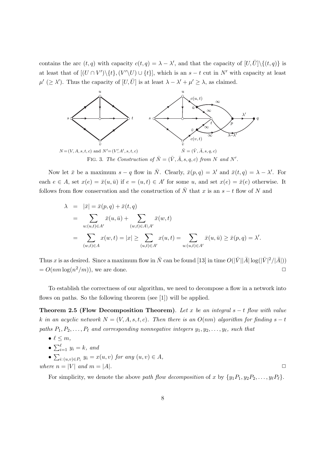contains the arc  $(t, q)$  with capacity  $c(t, q) = \lambda - \lambda'$ , and that the capacity of  $[U, \overline{U}]\setminus\{(t, q)\}\$ is at least that of  $[(U \cap V')\setminus \{t\}, (V'\setminus U) \cup \{t\}],$  which is an  $s-t$  cut in N' with capacity at least  $\mu' \ (\geq \lambda')$ . Thus the capacity of  $[U, \overline{U}]$  is at least  $\lambda - \lambda' + \mu' \geq \lambda$ , as claimed.



Now let  $\bar{x}$  be a maximum  $s-q$  flow in  $\bar{N}$ . Clearly,  $\bar{x}(p,q) = \lambda'$  and  $\bar{x}(t,q) = \lambda - \lambda'$ . For each  $e \in A$ , set  $x(e) = \overline{x}(u, \overline{u})$  if  $e = (u, t) \in A'$  for some u, and set  $x(e) = \overline{x}(e)$  otherwise. It follows from flow conservation and the construction of  $\overline{N}$  that x is an  $s-t$  flow of N and

$$
\lambda = |\bar{x}| = \bar{x}(p,q) + \bar{x}(t,q)
$$
  
\n
$$
= \sum_{u:(u,t)\in A'} \bar{x}(u,\bar{u}) + \sum_{(w,t)\in A\backslash A'} \bar{x}(w,t)
$$
  
\n
$$
= \sum_{(w,t)\in A} x(w,t) = |x| \ge \sum_{(u,t)\in A'} x(u,t) = \sum_{u:(u,t)\in A'} \bar{x}(u,\bar{u}) \ge \bar{x}(p,q) = \lambda'.
$$

Thus x is as desired. Since a maximum flow in  $\bar{N}$  can be found [13] in time  $O(|\bar{V}||\bar{A}|\log(|\bar{V}|^2/|\bar{A}|))$  $= O(nm \log(n^2/m))$ , we are done.  $\Box$ 

To establish the correctness of our algorithm, we need to decompose a flow in a network into flows on paths. So the following theorem (see [1]) will be applied.

**Theorem 2.5 (Flow Decomposition Theorem).** Let x be an integral  $s - t$  flow with value k in an acyclic network  $N = (V, A, s, t, c)$ . Then there is an  $O(nm)$  algorithm for finding  $s - t$ paths  $P_1, P_2, \ldots, P_\ell$  and corresponding nonnegative integers  $y_1, y_2, \ldots, y_\ell$ , such that

\n- \n
$$
\ell \leq m
$$
,\n
\n- \n $\sum_{i=1}^{\ell} y_i = k$ , and\n
\n- \n $\sum_{i:(u,v)\in P_i} y_i = x(u,v)$  for any  $(u,v) \in A$ , where  $n = |V|$  and  $m = |A|$ .\n
\n

For simplicity, we denote the above path flow decomposition of x by  $\{y_1P_1, y_2P_2, \ldots, y_\ell P_\ell\}$ .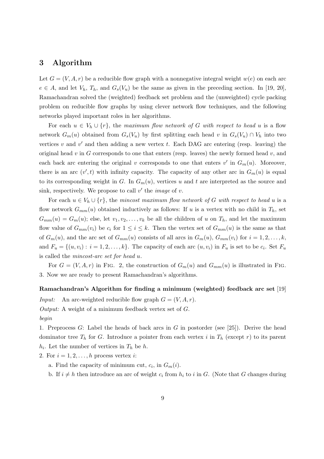#### 3 Algorithm

Let  $G=(V, A, r)$  be a reducible flow graph with a nonnegative integral weight  $w(e)$  on each arc  $e \in A$ , and let  $V_h$ ,  $T_h$ , and  $G_s(V_u)$  be the same as given in the preceding section. In [19, 20], Ramachandran solved the (weighted) feedback set problem and the (unweighted) cycle packing problem on reducible flow graphs by using clever network flow techniques, and the following networks played important roles in her algorithms.

For each  $u \in V_h \cup \{r\}$ , the maximum flow network of G with respect to head u is a flow network  $G_m(u)$  obtained from  $G_s(V_u)$  by first splitting each head v in  $G_s(V_u) \cap V_h$  into two vertices v and v' and then adding a new vertex t. Each DAG arc entering (resp. leaving) the original head  $v$  in G corresponds to one that enters (resp. leaves) the newly formed head  $v$ , and each back arc entering the original v corresponds to one that enters  $v'$  in  $G_m(u)$ . Moreover, there is an arc  $(v',t)$  with infinity capacity. The capacity of any other arc in  $G_m(u)$  is equal to its corresponding weight in G. In  $G_m(u)$ , vertices u and t are interpreted as the source and sink, respectively. We propose to call  $v'$  the *image* of  $v$ .

For each  $u \in V_h \cup \{r\}$ , the mincost maximum flow network of G with respect to head u is a flow network  $G_{mm}(u)$  obtained inductively as follows: If u is a vertex with no child in  $T_h$ , set  $G_{mm}(u) = G_m(u)$ ; else, let  $v_1, v_2, \ldots, v_k$  be all the children of u on  $T_h$ , and let the maximum flow value of  $G_{mm}(v_i)$  be  $c_i$  for  $1 \leq i \leq k$ . Then the vertex set of  $G_{mm}(u)$  is the same as that of  $G_m(u)$ , and the arc set of  $G_{mm}(u)$  consists of all arcs in  $G_m(u)$ ,  $G_{mm}(v_i)$  for  $i = 1, 2, ..., k$ , and  $F_u = \{(u, v_i) : i = 1, 2, \ldots, k\}$ . The capacity of each arc  $(u, v_i)$  in  $F_u$  is set to be  $c_i$ . Set  $F_u$ is called the *mincost-arc set for head u*.

For  $G = (V, A, r)$  in Fig. 2, the construction of  $G_m(u)$  and  $G_{mm}(u)$  is illustrated in Fig. 3. Now we are ready to present Ramachandran's algorithms.

### Ramachandran's Algorithm for finding a minimum (weighted) feedback arc set [19]

*Input:* An arc-weighted reducible flow graph  $G = (V, A, r)$ . *Output:* A weight of a minimum feedback vertex set of  $G$ . begin

1. Preprocess G: Label the heads of back arcs in G in postorder (see [25]). Derive the head dominator tree  $T_h$  for G. Introduce a pointer from each vertex i in  $T_h$  (except r) to its parent  $h_i$ . Let the number of vertices in  $T_h$  be h.

2. For  $i = 1, 2, \ldots, h$  process vertex i:

a. Find the capacity of minimum cut,  $c_i$ , in  $G_m(i)$ .

b. If  $i \neq h$  then introduce an arc of weight  $c_i$  from  $h_i$  to i in G. (Note that G changes during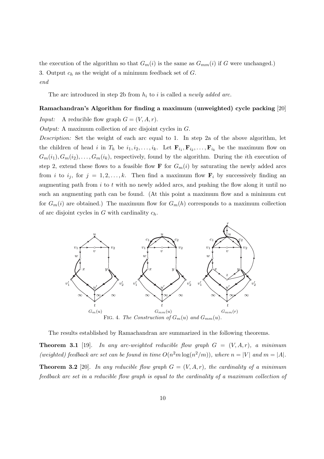the execution of the algorithm so that  $G_m(i)$  is the same as  $G_{mm}(i)$  if G were unchanged.) 3. Output  $c_h$  as the weight of a minimum feedback set of  $G$ .  $end$ 

The arc introduced in step 2b from  $h_i$  to i is called a *newly added arc*.

### Ramachandran's Algorithm for finding a maximum (unweighted) cycle packing [20]

A reducible flow graph  $G = (V, A, r)$ .  $Input:$ 

Output: A maximum collection of arc disjoint cycles in  $G$ .

*Description:* Set the weight of each arc equal to 1. In step 2a of the above algorithm, let the children of head i in  $T_h$  be  $i_1, i_2, \ldots, i_k$ . Let  $\mathbf{F}_{i_1}, \mathbf{F}_{i_2}, \ldots, \mathbf{F}_{i_k}$  be the maximum flow on  $G_m(i_1), G_m(i_2), \ldots, G_m(i_k)$ , respectively, found by the algorithm. During the *i*th execution of step 2, extend these flows to a feasible flow **F** for  $G_m(i)$  by saturating the newly added arcs from *i* to  $i_j$ , for  $j = 1, 2, ..., k$ . Then find a maximum flow  $\mathbf{F}_i$  by successively finding an augmenting path from  $i$  to  $t$  with no newly added arcs, and pushing the flow along it until no such an augmenting path can be found. (At this point a maximum flow and a minimum cut for  $G_m(i)$  are obtained.) The maximum flow for  $G_m(h)$  corresponds to a maximum collection of arc disjoint cycles in  $G$  with cardinality  $c_h$ .



The results established by Ramachandran are summarized in the following theorems.

**Theorem 3.1** [19]. In any arc-weighted reducible flow graph  $G = (V, A, r)$ , a minimum (weighted) feedback arc set can be found in time  $O(n^2m \log(n^2/m))$ , where  $n = |V|$  and  $m = |A|$ .

**Theorem 3.2** [20]. In any reducible flow graph  $G = (V, A, r)$ , the cardinality of a minimum feedback arc set in a reducible flow graph is equal to the cardinality of a maximum collection of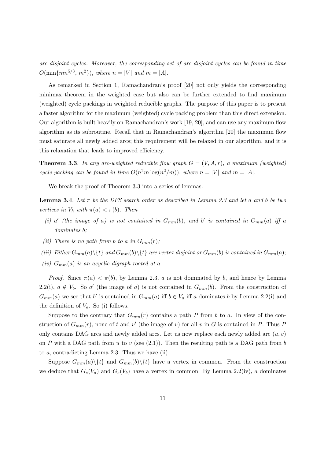arc disjoint cycles. Moreover, the corresponding set of arc disjoint cycles can be found in time  $O(\min\{mn^{5/3}, m^2\})$ , where  $n = |V|$  and  $m = |A|$ .

As remarked in Section 1, Ramachandran's proof [20] not only yields the corresponding minimax theorem in the weighted case but also can be further extended to find maximum (weighted) cycle packings in weighted reducible graphs. The purpose of this paper is to present a faster algorithm for the maximum (weighted) cycle packing problem than this direct extension. Our algorithm is built heavily on Ramachandran's work [19, 20], and can use any maximum flow algorithm as its subroutine. Recall that in Ramachandran's algorithm [20] the maximum flow must saturate all newly added arcs; this requirement will be relaxed in our algorithm, and it is this relaxation that leads to improved efficiency.

**Theorem 3.3.** In any arc-weighted reducible flow graph  $G = (V, A, r)$ , a maximum (weighted) cycle packing can be found in time  $O(n^2m \log(n^2/m))$ , where  $n = |V|$  and  $m = |A|$ .

We break the proof of Theorem 3.3 into a series of lemmas.

**Lemma 3.4.** Let  $\pi$  be the DFS search order as described in Lemma 2.3 and let a and b be two vertices in  $V_h$  with  $\pi(a) < \pi(b)$ . Then

- (i) a' (the image of a) is not contained in  $G_{mm}(b)$ , and b' is contained in  $G_{mm}(a)$  iff a dominates b;
- (ii) There is no path from b to a in  $G_{mm}(r)$ ;
- (iii) Either  $G_{mm}(a)\backslash\{t\}$  and  $G_{mm}(b)\backslash\{t\}$  are vertex disjoint or  $G_{mm}(b)$  is contained in  $G_{mm}(a)$ ;
- (iv)  $G_{mm}(a)$  is an acyclic digraph rooted at a.

*Proof.* Since  $\pi(a) < \pi(b)$ , by Lemma 2.3, a is not dominated by b, and hence by Lemma 2.2(i),  $a \notin V_b$ . So a' (the image of a) is not contained in  $G_{mm}(b)$ . From the construction of  $G_{mm}(a)$  we see that b' is contained in  $G_{mm}(a)$  iff  $b \in V_a$  iff a dominates b by Lemma 2.2(i) and the definition of  $V_a$ . So (i) follows.

Suppose to the contrary that  $G_{mm}(r)$  contains a path P from b to a. In view of the construction of  $G_{mm}(r)$ , none of t and v' (the image of v) for all v in G is contained in P. Thus P only contains DAG arcs and newly added arcs. Let us now replace each newly added arc  $(u, v)$ on P with a DAG path from u to v (see (2.1)). Then the resulting path is a DAG path from b to  $a$ , contradicting Lemma 2.3. Thus we have (ii).

Suppose  $G_{mm}(a)\setminus\{t\}$  and  $G_{mm}(b)\setminus\{t\}$  have a vertex in common. From the construction we deduce that  $G_s(V_a)$  and  $G_s(V_b)$  have a vertex in common. By Lemma 2.2(iv), a dominates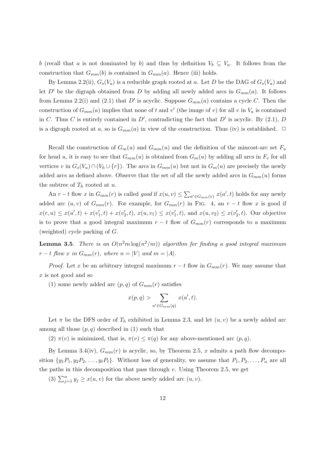b (recall that a is not dominated by b) and thus by definition  $V_b \subseteq V_a$ . It follows from the construction that  $G_{mm}(b)$  is contained in  $G_{mm}(a)$ . Hence (iii) holds.

By Lemma 2.2(ii),  $G_s(V_a)$  is a reducible graph rooted at a. Let D be the DAG of  $G_s(V_a)$  and let D' be the digraph obtained from D by adding all newly added arcs in  $G_{mm}(a)$ . It follows from Lemma 2.2(i) and (2.1) that D' is acyclic. Suppose  $G_{mm}(a)$  contains a cycle C. Then the construction of  $G_{mm}(a)$  implies that none of t and v' (the image of v) for all v in  $V_a$  is contained in C. Thus C is entirely contained in D', contradicting the fact that D' is acyclic. By  $(2.1)$ , D is a digraph rooted at a, so is  $G_{mm}(a)$  in view of the construction. Thus (iv) is established.  $\Box$ 

Recall the construction of  $G_m(u)$  and  $G_{mm}(u)$  and the definition of the mincost-arc set  $F_u$ for head u, it is easy to see that  $G_{mm}(u)$  is obtained from  $G_m(u)$  by adding all arcs in  $F_v$  for all vertices v in  $G_s(V_u) \cap (V_h \cup \{r\})$ . The arcs in  $G_{mm}(u)$  but not in  $G_m(u)$  are precisely the newly added arcs as defined above. Observe that the set of all the newly added arcs in  $G_{mm}(u)$  forms the subtree of  $T_h$  rooted at u.

An  $r-t$  flow x in  $G_{mm}(r)$  is called good if  $x(u, v) \leq \sum_{a' \in G_{mm}(v)} x(a', t)$  holds for any newly added arc  $(u, v)$  of  $G_{mm}(r)$ . For example, for  $G_{mm}(r)$  in Fig. 4, an  $r - t$  flow x is good if  $x(r, u) \leq x(u', t) + x(v'_1, t) + x(v'_2, t), x(u, v_1) \leq x(v'_1, t)$ , and  $x(u, v_2) \leq x(v'_2, t)$ . Our objective is to prove that a good integral maximum  $r - t$  flow of  $G_{mm}(r)$  corresponds to a maximum (weighted) cycle packing of  $G$ .

**Lemma 3.5.** There is an  $O(n^2m \log(n^2/m))$  algorithm for finding a good integral maximum  $r-t$  flow x in  $G_{mm}(r)$ , where  $n=|V|$  and  $m=|A|$ .

*Proof.* Let x be an arbitrary integral maximum  $r - t$  flow in  $G_{mm}(r)$ . We may assume that  $x$  is not good and so

(1) some newly added arc  $(p, q)$  of  $G_{mm}(r)$  satisfies

$$
x(p,q) > \sum_{a' \in G_{mm}(q)} x(a',t).
$$

Let  $\pi$  be the DFS order of  $T_h$  exhibited in Lemma 2.3, and let  $(u, v)$  be a newly added arc among all those  $(p, q)$  described in (1) such that

(2)  $\pi(v)$  is minimized, that is,  $\pi(v) \leq \pi(q)$  for any above-mentioned arc  $(p,q)$ .

By Lemma 3.4(iv),  $G_{mm}(r)$  is acyclic, so, by Theorem 2.5, x admits a path flow decomposition  $\{y_1P_1, y_2P_2, \ldots, y_\ell P_\ell\}$ . Without loss of generality, we assume that  $P_1, P_2, \ldots, P_\alpha$  are all the paths in this decomposition that pass through  $v$ . Using Theorem 2.5, we get

(3)  $\sum_{j=1}^{\alpha} y_j \geq x(u, v)$  for the above newly added arc  $(u, v)$ .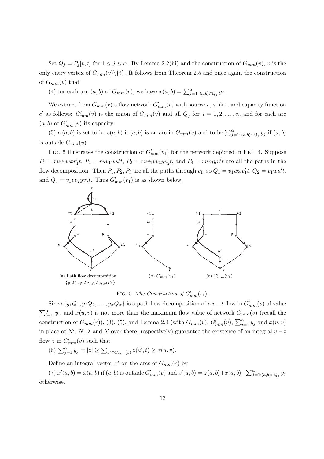Set  $Q_j = P_j[v, t]$  for  $1 \leq j \leq \alpha$ . By Lemma 2.2(iii) and the construction of  $G_{mm}(v)$ , v is the only entry vertex of  $G_{mm}(v)\backslash\{t\}$ . It follows from Theorem 2.5 and once again the construction of  $G_{mm}(v)$  that

(4) for each arc  $(a, b)$  of  $G_{mm}(v)$ , we have  $x(a, b) = \sum_{i=1}^{\alpha} (a, b) \in O_i$ ,  $y_j$ 

We extract from  $G_{mm}(r)$  a flow network  $G'_{mm}(v)$  with source v, sink t, and capacity function c' as follows:  $G'_{mm}(v)$  is the union of  $G_{mm}(v)$  and all  $Q_j$  for  $j = 1, 2, ..., \alpha$ , and for each arc  $(a, b)$  of  $G'_{mm}(v)$  its capacity

(5)  $c'(a, b)$  is set to be  $c(a, b)$  if  $(a, b)$  is an arc in  $G_{mm}(v)$  and to be  $\sum_{j=1}^{\alpha} a_{i,b} \in Q_i$  y if  $(a, b)$ is outside  $G_{mm}(v)$ .

FIG. 5 illustrates the construction of  $G'_{mm}(v_1)$  for the network depicted in FIG. 4. Suppose  $P_1 = ruv_1w x v_1't$ ,  $P_2 = ruv_1w u' t$ ,  $P_3 = ruv_1vv_2y v_2't$ , and  $P_4 = ruv_2yu't$  are all the paths in the flow decomposition. Then  $P_1$ ,  $P_2$ ,  $P_3$  are all the paths through  $v_1$ , so  $Q_1 = v_1 w x v_1' t$ ,  $Q_2 = v_1 w u' t$ , and  $Q_3 = v_1 v v_2 y v_2' t$ . Thus  $G'_{mm}(v_1)$  is as shown below.



FIG. 5. The Construction of  $G'_{mm}(v_1)$ .

Since  $\{y_1Q_1, y_2Q_2, \ldots, y_\alpha Q_\alpha\}$  is a path flow decomposition of a  $v-t$  flow in  $G'_{mm}(v)$  of value  $\sum_{i=1}^{\alpha} y_i$ , and  $x(u, v)$  is not more than the maximum flow value of network  $G_{mm}(v)$  (recall the construction of  $G_{mm}(r)$ , (3), (5), and Lemma 2.4 (with  $G_{mm}(v)$ ,  $G'_{mm}(v)$ ,  $\sum_{j=1}^{\alpha} y_j$  and  $x(u, v)$ in place of N', N,  $\lambda$  and  $\lambda'$  over there, respectively) guarantee the existence of an integral  $v-t$ flow z in  $G'_{mm}(v)$  such that

(6) 
$$
\sum_{j=1}^{\alpha} y_j = |z| \ge \sum_{a' \in G_{mm}(v)} z(a', t) \ge x(u, v).
$$

Define an integral vector x' on the arcs of  $G_{mm}(r)$  by

(7)  $x'(a, b) = x(a, b)$  if  $(a, b)$  is outside  $G'_{mm}(v)$  and  $x'(a, b) = z(a, b) + x(a, b) - \sum_{i=1}^{\alpha} a_{i}(a, b) \in Q_{i}$ otherwise.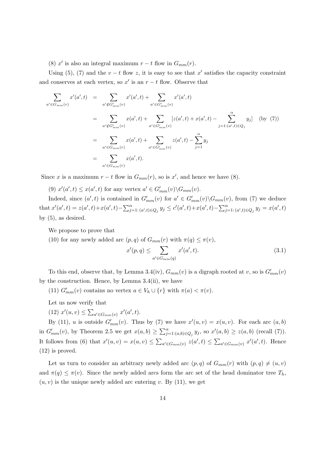(8) x' is also an integral maximum  $r - t$  flow in  $G_{mm}(r)$ .

Using (5), (7) and the  $v-t$  flow z, it is easy to see that x' satisfies the capacity constraint and conserves at each vertex, so x' is an  $r - t$  flow. Observe that

$$
\sum_{a' \in G_{mm}(r)} x'(a',t) = \sum_{a' \notin G'_{mm}(v)} x'(a',t) + \sum_{a' \in G'_{mm}(v)} x'(a',t)
$$
\n
$$
= \sum_{a' \notin G'_{mm}(v)} x(a',t) + \sum_{a' \in G'_{mm}(v)} [z(a',t) + x(a',t) - \sum_{j=1:(a',t) \in Q_j} x_j] \quad \text{(by (7))}
$$
\n
$$
= \sum_{a' \in G_{mm}(r)} x(a',t) + \sum_{a' \in G'_{mm}(v)} z(a',t) - \sum_{j=1}^{\alpha} y_j
$$
\n
$$
= \sum_{a' \in G_{mm}(r)} x(a',t).
$$

Since x is a maximum  $r - t$  flow in  $G_{mm}(r)$ , so is x', and hence we have (8).

(9)  $x'(a',t) \leq x(a',t)$  for any vertex  $a' \in G'_{mm}(v) \backslash G_{mm}(v)$ .

Indeed, since  $(a',t)$  is contained in  $G'_{mm}(v)$  for  $a' \in G'_{mm}(v) \backslash G_{mm}(v)$ , from (7) we deduce that  $x'(a',t) = z(a',t) + x(a',t) - \sum_{j=1}^{\alpha} \sum_{(a',t) \in Q_j} y_j \le c'(a',t) + x(a',t) - \sum_{j=1}^{\alpha} \sum_{(a',t) \in Q_j} y_j = x(a',t)$ by  $(5)$ , as desired.

We propose to prove that

(10) for any newly added arc  $(p, q)$  of  $G_{mm}(r)$  with  $\pi(q) \leq \pi(v)$ ,

$$
x'(p,q) \le \sum_{a' \in G_{mm}(q)} x'(a',t). \tag{3.1}
$$

To this end, observe that, by Lemma 3.4(iv),  $G_{mm}(v)$  is a digraph rooted at v, so is  $G'_{mm}(v)$ by the construction. Hence, by Lemma  $3.4$ (ii), we have

(11)  $G'_{mm}(v)$  contains no vertex  $a \in V_h \cup \{r\}$  with  $\pi(a) < \pi(v)$ .

Let us now verify that

(12)  $x'(u, v) \le \sum_{a' \in G_{mm}(v)} x'(a', t)$ .

By (11), u is outside  $G'_{mm}(v)$ . Thus by (7) we have  $x'(u, v) = x(u, v)$ . For each arc  $(a, b)$ in  $G'_{mm}(v)$ , by Theorem 2.5 we get  $x(a,b) \ge \sum_{j=1:(a,b)\in Q_j}^{\alpha} y_j$ , so  $x'(a,b) \ge z(a,b)$  (recall (7)). It follows from (6) that  $x'(u, v) = x(u, v) \le \sum_{a' \in G_{mm}(v)} z(a', t) \le \sum_{a' \in G_{mm}(v)} x'(a', t)$ . Hence  $(12)$  is proved.

Let us turn to consider an arbitrary newly added arc  $(p,q)$  of  $G_{mm}(r)$  with  $(p,q) \neq (u,v)$ and  $\pi(q) \leq \pi(v)$ . Since the newly added arcs form the arc set of the head dominator tree  $T_h$ ,  $(u, v)$  is the unique newly added arc entering v. By (11), we get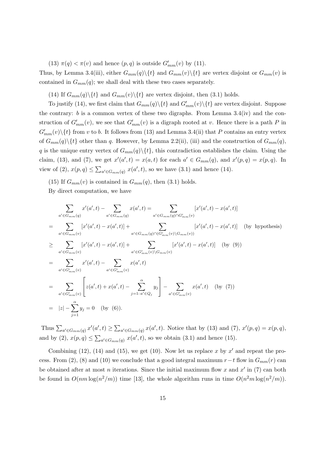(13)  $\pi(q) < \pi(v)$  and hence  $(p, q)$  is outside  $G'_{mm}(v)$  by (11).

Thus, by Lemma 3.4(iii), either  $G_{mm}(q)\backslash\{t\}$  and  $G_{mm}(v)\backslash\{t\}$  are vertex disjoint or  $G_{mm}(v)$  is contained in  $G_{mm}(q)$ ; we shall deal with these two cases separately.

(14) If  $G_{mm}(q)\backslash\{t\}$  and  $G_{mm}(v)\backslash\{t\}$  are vertex disjoint, then (3.1) holds.

To justify (14), we first claim that  $G_{mm}(q)\backslash\{t\}$  and  $G'_{mm}(v)\backslash\{t\}$  are vertex disjoint. Suppose the contrary:  $b$  is a common vertex of these two digraphs. From Lemma 3.4(iv) and the construction of  $G'_{mm}(v)$ , we see that  $G'_{mm}(v)$  is a digraph rooted at v. Hence there is a path P in  $G'_{mm}(v)\setminus\{t\}$  from v to b. It follows from (13) and Lemma 3.4(ii) that P contains an entry vertex of  $G_{mm}(q)\backslash\{t\}$  other than q. However, by Lemma 2.2(ii), (iii) and the construction of  $G_{mm}(q)$ , q is the unique entry vertex of  $G_{mm}(q)\backslash\{t\}$ , this contradiction establishes the claim. Using the claim, (13), and (7), we get  $x'(a',t) = x(a,t)$  for each  $a' \in G_{mm}(q)$ , and  $x'(p,q) = x(p,q)$ . In view of (2),  $x(p,q) \leq \sum_{a' \in G_{mm}(q)} x(a',t)$ , so we have (3.1) and hence (14).

(15) If  $G_{mm}(v)$  is contained in  $G_{mm}(q)$ , then (3.1) holds.

By direct computation, we have

$$
\sum_{a' \in G_{mm}(q)} x'(a',t) - \sum_{a' \in G_{mm}(q)} x(a',t) = \sum_{a' \in G_{mm}(q) \cap G'_{mm}(v)} [x'(a',t) - x(a',t)]
$$
\n
$$
= \sum_{a' \in G_{mm}(v)} [x'(a',t) - x(a',t)] + \sum_{a' \in G_{mm}(q) \cap (G'_{mm}(v) \setminus G_{mm}(v))} [x'(a',t) - x(a',t)] \quad \text{(by hypothesis)}
$$
\n
$$
\geq \sum_{a' \in G_{mm}(v)} [x'(a',t) - x(a',t)] + \sum_{a' \in G'_{mm}(v) \setminus G_{mm}(v)} [x'(a',t) - x(a',t)] \quad \text{(by (9))}
$$
\n
$$
= \sum_{a' \in G'_{mm}(v)} x'(a',t) - \sum_{a' \in G'_{mm}(v)} x(a',t)
$$
\n
$$
= \sum_{a' \in G'_{mm}(v)} \left[ z(a',t) + x(a',t) - \sum_{j=1: a' \in Q_j} y_j \right] - \sum_{a' \in G'_{mm}(v)} x(a',t) \quad \text{(by (7))}
$$
\n
$$
= |z| - \sum_{j=1}^{\alpha} y_j = 0 \quad \text{(by (6))}.
$$

Thus  $\sum_{a' \in G_{mm}(q)} x'(a', t) \geq \sum_{a' \in G_{mm}(q)} x(a', t)$ . Notice that by (13) and (7),  $x'(p, q) = x(p, q)$ , and by (2),  $x(p,q) \leq \sum_{a' \in G_{mm}(q)} x(a',t)$ , so we obtain (3.1) and hence (15).

Combining (12), (14) and (15), we get (10). Now let us replace x by  $x'$  and repeat the process. From (2), (8) and (10) we conclude that a good integral maximum  $r-t$  flow in  $G_{mm}(r)$  can be obtained after at most n iterations. Since the initial maximum flow x and  $x'$  in (7) can both be found in  $O(nm \log(n^2/m))$  time [13], the whole algorithm runs in time  $O(n^2m \log(n^2/m))$ .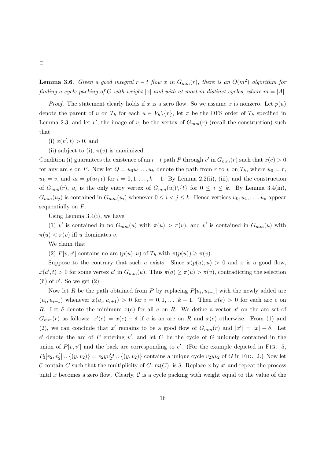**Lemma 3.6.** Given a good integral  $r - t$  flow x in  $G_{mm}(r)$ , there is an  $O(m^2)$  algorithm for finding a cycle packing of G with weight |x| and with at most m distinct cycles, where  $m = |A|$ .

*Proof.* The statement clearly holds if x is a zero flow. So we assume x is nonzero. Let  $p(u)$ denote the parent of u on  $T_h$  for each  $u \in V_h \backslash \{r\}$ , let  $\pi$  be the DFS order of  $T_h$  specified in Lemma 2.3, and let v', the image of v, be the vertex of  $G_{mm}(r)$  (recall the construction) such that

- (i)  $x(v', t) > 0$ , and
- (ii) subject to (i),  $\pi(v)$  is maximized.

Condition (i) guarantees the existence of an  $r-t$  path P through v' in  $G_{mm}(r)$  such that  $x(e) > 0$ for any arc e on P. Now let  $Q = u_0 u_1 ... u_k$  denote the path from r to v on  $T_h$ , where  $u_0 = r$ ,  $u_k = v$ , and  $u_i = p(u_{i+1})$  for  $i = 0, 1, ..., k-1$ . By Lemma 2.2(ii), (iii), and the construction of  $G_{mm}(r)$ ,  $u_i$  is the only entry vertex of  $G_{mm}(u_i)\backslash\{t\}$  for  $0 \leq i \leq k$ . By Lemma 3.4(iii),  $G_{mm}(u_j)$  is contained in  $G_{mm}(u_i)$  whenever  $0 \leq i < j \leq k$ . Hence vertices  $u_0, u_1, \ldots, u_k$  appear sequentially on  $P$ .

Using Lemma  $3.4(i)$ , we have

(1) v' is contained in no  $G_{mm}(u)$  with  $\pi(u) > \pi(v)$ , and v' is contained in  $G_{mm}(u)$  with  $\pi(u) < \pi(v)$  iff u dominates v.

We claim that

(2)  $P[v, v']$  contains no arc  $(p(u), u)$  of  $T_h$  with  $\pi(p(u)) \geq \pi(v)$ .

Suppose to the contrary that such u exists. Since  $x(p(u), u) > 0$  and x is a good flow,  $x(a',t) > 0$  for some vertex a' in  $G_{mm}(u)$ . Thus  $\pi(a) \geq \pi(u) > \pi(v)$ , contradicting the selection (ii) of  $v'$ . So we get  $(2)$ .

Now let R be the path obtained from P by replacing  $P[u_i, u_{i+1}]$  with the newly added arc  $(u_i, u_{i+1})$  whenever  $x(u_i, u_{i+1}) > 0$  for  $i = 0, 1, \ldots, k-1$ . Then  $x(e) > 0$  for each arc e on R. Let  $\delta$  denote the minimum  $x(e)$  for all e on R. We define a vector  $x'$  on the arc set of  $G_{mm}(r)$  as follows:  $x'(e) = x(e) - \delta$  if e is an arc on R and  $x(e)$  otherwise. From (1) and (2), we can conclude that x' remains to be a good flow of  $G_{mm}(r)$  and  $|x'| = |x| - \delta$ . Let e' denote the arc of P entering v', and let C be the cycle of G uniquely contained in the union of  $P[v, v']$  and the back arc corresponding to e'. (For the example depicted in Fig. 5,  $P_3[v_2, v_2'] \cup \{(y, v_2)\} = v_2 y v_2' t \cup \{(y, v_2)\}\$ contains a unique cycle  $v_2 y v_2$  of G in Fig. 2.) Now let C contain C such that the multiplicity of C,  $m(C)$ , is  $\delta$ . Replace x by x' and repeat the process until x becomes a zero flow. Clearly,  $\mathcal C$  is a cycle packing with weight equal to the value of the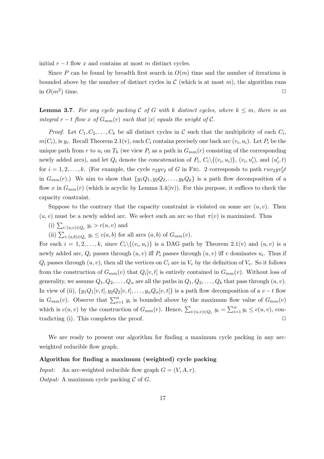initial  $r - t$  flow x and contains at most m distinct cycles.

Since P can be found by breadth first search in  $O(m)$  time and the number of iterations is bounded above by the number of distinct cycles in  $\mathcal C$  (which is at most m), the algorithm runs in  $O(m^2)$  time.  $\Box$ 

**Lemma 3.7**. For any cycle packing C of G with k distinct cycles, where  $k \leq m$ , there is an integral  $r - t$  flow x of  $G_{mm}(r)$  such that |x| equals the weight of C.

*Proof.* Let  $C_1, C_2, \ldots, C_k$  be all distinct cycles in C such that the multiplicity of each  $C_i$ ,  $m(C_i)$ , is  $y_i$ . Recall Theorem 2.1(v), each  $C_i$  contains precisely one back arc  $(v_i, u_i)$ . Let  $P_i$  be the unique path from r to  $u_i$  on  $T_h$  (we view  $P_i$  as a path in  $G_{mm}(r)$  consisting of the corresponding newly added arcs), and let  $Q_i$  denote the concatenation of  $P_i$ ,  $C_i \setminus \{(v_i, u_i)\}, (v_i, u'_i)$ , and  $(u'_i, t)$ for  $i = 1, 2, ..., k$ . (For example, the cycle  $v_2yv_2$  of G in Fig. 2 corresponds to path  $ruv_2yv_2'$ in  $G_{mm}(r)$ .) We aim to show that  $\{y_1Q_1, y_2Q_2, \ldots, y_kQ_k\}$  is a path flow decomposition of a flow x in  $G_{mm}(r)$  (which is acyclic by Lemma 3.4(iv)). For this purpose, it suffices to check the capacity constraint.

Suppose to the contrary that the capacity constraint is violated on some arc  $(u, v)$ . Then  $(u, v)$  must be a newly added arc. We select such an arc so that  $\pi(v)$  is maximized. Thus

- (i)  $\sum_{i:(u,v)\in O_i} y_i > c(u,v)$  and
- (ii)  $\sum_{i:(a,b)\in O_i} y_i \le c(a,b)$  for all arcs  $(a,b)$  of  $G_{mm}(v)$ .

For each  $i = 1, 2, ..., k$ , since  $C_i \setminus \{(v_i, u_i)\}\$ is a DAG path by Theorem 2.1(v) and  $(u, v)$  is a newly added arc,  $Q_i$  passes through  $(u, v)$  iff  $P_i$  passes through  $(u, v)$  iff v dominates  $u_i$ . Thus if  $Q_i$  passes through  $(u, v)$ , then all the vertices on  $C_i$  are in  $V_v$  by the definition of  $V_v$ . So it follows from the construction of  $G_{mm}(v)$  that  $Q_i[v,t]$  is entirely contained in  $G_{mm}(v)$ . Without loss of generality, we assume  $Q_1, Q_2, \ldots, Q_\alpha$  are all the paths in  $Q_1, Q_2, \ldots, Q_k$  that pass through  $(u, v)$ . In view of (ii),  $\{y_1Q_1[v,t], y_2Q_2[v,t], \ldots, y_\alpha Q_\alpha[v,t]\}$  is a path flow decomposition of a  $v-t$  flow in  $G_{mm}(v)$ . Observe that  $\sum_{i=1}^{\alpha} y_i$  is bounded above by the maximum flow value of  $G_{mm}(v)$ which is  $c(u, v)$  by the construction of  $G_{mm}(r)$ . Hence,  $\sum_{i:(u,v)\in Q_i} y_i = \sum_{i=1}^{\alpha} y_i \leq c(u, v)$ , contradicting (i). This completes the proof.  $\Box$ 

We are ready to present our algorithm for finding a maximum cycle packing in any arcweighted reducible flow graph.

### Algorithm for finding a maximum (weighted) cycle packing

An arc-weighted reducible flow graph  $G = (V, A, r)$ . Input: *Output:* A maximum cycle packing  $\mathcal C$  of  $G$ .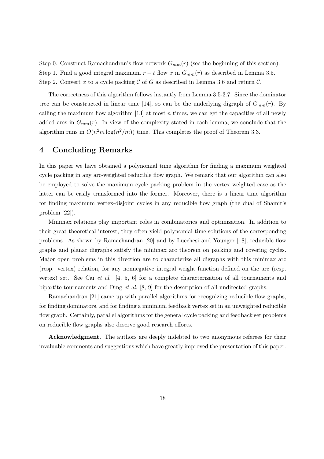Step 0. Construct Ramachandran's flow network  $G_{mm}(r)$  (see the beginning of this section). Step 1. Find a good integral maximum  $r - t$  flow x in  $G_{mm}(r)$  as described in Lemma 3.5. Step 2. Convert x to a cycle packing C of G as described in Lemma 3.6 and return C.

The correctness of this algorithm follows instantly from Lemma 3.5-3.7. Since the dominator tree can be constructed in linear time [14], so can be the underlying digraph of  $G_{mm}(r)$ . By calling the maximum flow algorithm [13] at most  $n$  times, we can get the capacities of all newly added arcs in  $G_{mm}(r)$ . In view of the complexity stated in each lemma, we conclude that the algorithm runs in  $O(n^2m \log(n^2/m))$  time. This completes the proof of Theorem 3.3.

#### $\overline{\mathbf{4}}$ **Concluding Remarks**

In this paper we have obtained a polynomial time algorithm for finding a maximum weighted cycle packing in any arc-weighted reducible flow graph. We remark that our algorithm can also be employed to solve the maximum cycle packing problem in the vertex weighted case as the latter can be easily transformed into the former. Moreover, there is a linear time algorithm for finding maximum vertex-disjoint cycles in any reducible flow graph (the dual of Shamir's problem  $[22]$ ).

Minimax relations play important roles in combinatorics and optimization. In addition to their great theoretical interest, they often yield polynomial-time solutions of the corresponding problems. As shown by Ramachandran [20] and by Lucchesi and Younger [18], reducible flow graphs and planar digraphs satisfy the minimax arc theorem on packing and covering cycles. Major open problems in this direction are to characterize all digraphs with this minimax arc (resp. vertex) relation, for any nonnegative integral weight function defined on the arc (resp. vertex) set. See Cai *et al.* [4, 5, 6] for a complete characterization of all tournaments and bipartite tournaments and Ding *et al.* [8, 9] for the description of all undirected graphs.

Ramachandran [21] came up with parallel algorithms for recognizing reducible flow graphs, for finding dominators, and for finding a minimum feedback vertex set in an unweighted reducible flow graph. Certainly, parallel algorithms for the general cycle packing and feedback set problems on reducible flow graphs also deserve good research efforts.

**Acknowledgment.** The authors are deeply indebted to two anonymous referees for their invaluable comments and suggestions which have greatly improved the presentation of this paper.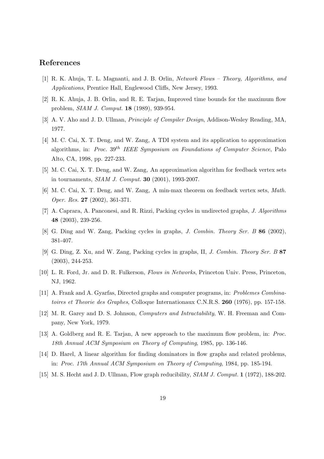## References

- [1] R. K. Ahuja, T. L. Magnanti, and J. B. Orlin, *Network Flows Theory, Algorithms, and* Applications, Prentice Hall, Englewood Cliffs, New Jersey, 1993.
- [2] R. K. Ahuja, J. B. Orlin, and R. E. Tarian, Improved time bounds for the maximum flow problem, *SIAM J. Comput.* **18** (1989), 939-954.
- [3] A. V. Aho and J. D. Ullman, *Principle of Compiler Design*, Addison-Wesley Reading, MA, 1977.
- [4] M. C. Cai, X. T. Deng, and W. Zang, A TDI system and its application to approximation algorithms, in: Proc.  $39^{th}$  IEEE Symposium on Foundations of Computer Science, Palo Alto, CA, 1998, pp. 227-233.
- [5] M. C. Cai, X. T. Deng, and W. Zang, An approximation algorithm for feedback vertex sets in tournaments,  $SIAM J. Comput. 30 (2001), 1993-2007.$
- [6] M. C. Cai, X. T. Deng, and W. Zang, A min-max theorem on feedback vertex sets, Math. Oper. Res. 27 (2002), 361-371.
- [7] A. Caprara, A. Panconesi, and R. Rizzi, Packing cycles in undirected graphs, J. Algorithms 48  $(2003)$ , 239-256.
- [8] G. Ding and W. Zang, Packing cycles in graphs, J. Combin. Theory Ser. B 86 (2002), 381-407.
- [9] G. Ding, Z. Xu, and W. Zang, Packing cycles in graphs, II, J. Combin. Theory Ser. B 87  $(2003), 244-253.$
- [10] L. R. Ford, Jr. and D. R. Fulkerson, *Flows in Networks*, Princeton Univ. Press, Princeton, NJ, 1962.
- [11] A. Frank and A. Gyarfas, Directed graphs and computer programs, in: *Problemes Combina*toires et Theorie des Graphes, Colloque Internationaux C.N.R.S. 260 (1976), pp. 157-158.
- [12] M. R. Garey and D. S. Johnson, *Computers and Intractability*, W. H. Freeman and Company, New York, 1979.
- [13] A. Goldberg and R. E. Tarjan, A new approach to the maximum flow problem, in: Proc. 18th Annual ACM Symposium on Theory of Computing, 1985, pp. 136-146.
- [14] D. Harel, A linear algorithm for finding dominators in flow graphs and related problems, in: Proc. 17th Annual ACM Symposium on Theory of Computing, 1984, pp. 185-194.
- [15] M. S. Hecht and J. D. Ullman, Flow graph reducibility, *SIAM J. Comput.* 1 (1972), 188-202.